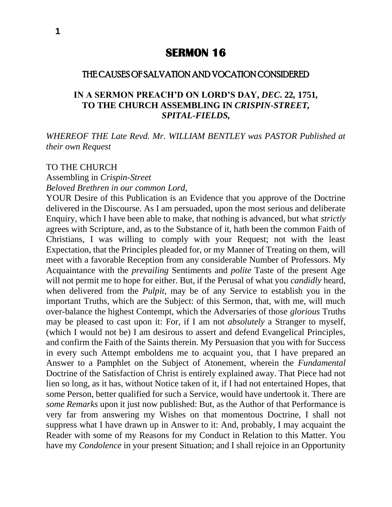# **SERMON 16**

### THE CAUSES OF SALVATION AND VOCATION CONSIDERED

### **IN A SERMON PREACH'D ON LORD'S DAY,** *DEC***. 22***,* **1751***,* **TO THE CHURCH ASSEMBLING IN** *CRISPIN-STREET, SPITAL-FIELDS,*

*WHEREOF THE Late Revd. Mr. WILLIAM BENTLEY was PASTOR Published at their own Request*

#### TO THE CHURCH

Assembling in *Crispin-Street Beloved Brethren in our common Lord,*

YOUR Desire of this Publication is an Evidence that you approve of the Doctrine delivered in the Discourse. As I am persuaded, upon the most serious and deliberate Enquiry, which I have been able to make, that nothing is advanced, but what *strictly*  agrees with Scripture, and, as to the Substance of it, hath been the common Faith of Christians, I was willing to comply with your Request; not with the least Expectation, that the Principles pleaded for, or my Manner of Treating on them, will meet with a favorable Reception from any considerable Number of Professors. My Acquaintance with the *prevailing* Sentiments and *polite* Taste of the present Age will not permit me to hope for either. But, if the Perusal of what you *candidly* heard, when delivered from the *Pulpit,* may be of any Service to establish you in the important Truths, which are the Subject: of this Sermon, that, with me, will much over-balance the highest Contempt, which the Adversaries of those *glorious* Truths may be pleased to cast upon it: For, if I am not *absolutely* a Stranger to myself, (which I would not be) I am desirous to assert and defend Evangelical Principles, and confirm the Faith of the Saints therein. My Persuasion that you with for Success in every such Attempt emboldens me to acquaint you, that I have prepared an Answer to a Pamphlet on the Subject of Atonement, wherein the *Fundamental*  Doctrine of the Satisfaction of Christ is entirely explained away. That Piece had not lien so long, as it has, without Notice taken of it, if I had not entertained Hopes, that some Person, better qualified for such a Service, would have undertook it. There are *some Remarks* upon it just now published: But, as the Author of that Performance is very far from answering my Wishes on that momentous Doctrine, I shall not suppress what I have drawn up in Answer to it: And, probably, I may acquaint the Reader with some of my Reasons for my Conduct in Relation to this Matter. You have my *Condolence* in your present Situation; and I shall rejoice in an Opportunity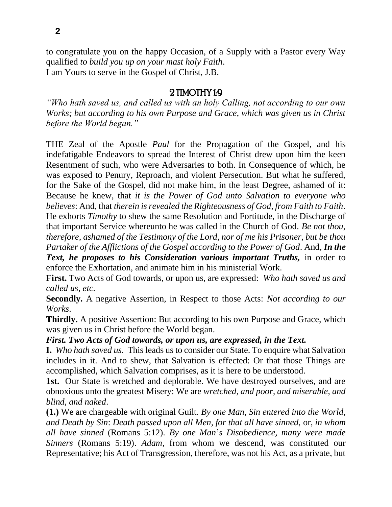to congratulate you on the happy Occasion, of a Supply with a Pastor every Way qualified *to build you up on your mast holy Faith*. I am Yours to serve in the Gospel of Christ, J.B.

# 2 TIMOTHY 1:9

*"Who hath saved us, and called us with an holy Calling, not according to our own Works; but according to his own Purpose and Grace, which was given us in Christ before the World began."* 

THE Zeal of the Apostle *Paul* for the Propagation of the Gospel, and his indefatigable Endeavors to spread the Interest of Christ drew upon him the keen Resentment of such, who were Adversaries to both. In Consequence of which, he was exposed to Penury, Reproach, and violent Persecution. But what he suffered, for the Sake of the Gospel, did not make him, in the least Degree, ashamed of it: Because he knew, that *it is the Power of God unto Salvation to everyone who believes*: And, that *therein is revealed the Righteousness of God, from Faith to Faith*. He exhorts *Timothy* to shew the same Resolution and Fortitude, in the Discharge of that important Service whereunto he was called in the Church of God. *Be not thou, therefore, ashamed of the Testimony of the Lord, nor of me his Prisoner, but be thou Partaker of the Afflictions of the Gospel according to the Power of God*. And, *In the*  **Text, he proposes to his Consideration various important Truths, in order to** enforce the Exhortation, and animate him in his ministerial Work.

**First.** Two Acts of God towards, or upon us, are expressed: *Who hath saved us and called us, etc*.

**Secondly.** A negative Assertion, in Respect to those Acts: *Not according to our Works*.

**Thirdly.** A positive Assertion: But according to his own Purpose and Grace, which was given us in Christ before the World began.

### *First. Two Acts of God towards, or upon us, are expressed, in the Text.*

**I.** *Who hath saved us.* This leads us to consider our State. To enquire what Salvation includes in it. And to shew, that Salvation is effected: Or that those Things are accomplished, which Salvation comprises, as it is here to be understood.

**1st.** Our State is wretched and deplorable. We have destroyed ourselves, and are obnoxious unto the greatest Misery: We are *wretched, and poor, and miserable, and blind, and naked*.

**(1.)** We are chargeable with original Guilt. *By one Man, Sin entered into the World, and Death by Sin*: *Death passed upon all Men, for that all have sinned,* or, *in whom all have sinned* (Romans 5:12). *By one Man*'*s Disobedience, many were made Sinners* (Romans 5:19). *Adam,* from whom we descend, was constituted our Representative; his Act of Transgression, therefore, was not his Act, as a private, but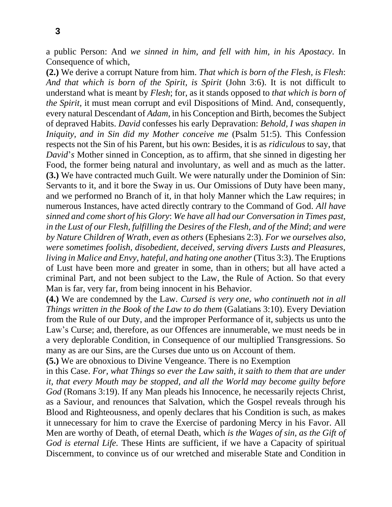a public Person: And *we sinned in him, and fell with him, in his Apostacy*. In Consequence of which,

**(2.)** We derive a corrupt Nature from him. *That which is born of the Flesh, is Flesh*: *And that which is born of the Spirit, is Spirit* (John 3:6). It is not difficult to understand what is meant by *Flesh*; for, as it stands opposed to *that which is born of the Spirit, it must mean corrupt and evil Dispositions of Mind. And, consequently,* every natural Descendant of *Adam,* in his Conception and Birth, becomes the Subject of depraved Habits. *David* confesses his early Depravation: *Behold, I was shapen in Iniquity, and in Sin did my Mother conceive me* (Psalm 51:5). This Confession respects not the Sin of his Parent, but his own: Besides, it is as *ridiculous* to say, that *David*'s Mother sinned in Conception, as to affirm, that she sinned in digesting her Food, the former being natural and involuntary, as well and as much as the latter. **(3.)** We have contracted much Guilt. We were naturally under the Dominion of Sin: Servants to it, and it bore the Sway in us. Our Omissions of Duty have been many, and we performed no Branch of it, in that holy Manner which the Law requires; in numerous Instances, have acted directly contrary to the Command of God. *All have sinned and come short of his Glory*: *We have all had our Conversation in Times past, in the Lust of our Flesh, fulfilling the Desires of the Flesh, and of the Mind*; *and were by Nature Children of Wrath, even as others* (Ephesians 2:3). *For we ourselves also, were sometimes foolish, disobedient, deceived, serving divers Lusts and Pleasures, living in Malice and Envy, hateful, and hating one another* (Titus 3:3). The Eruptions of Lust have been more and greater in some, than in others; but all have acted a criminal Part, and not been subject to the Law, the Rule of Action. So that every Man is far, very far, from being innocent in his Behavior.

**(4.)** We are condemned by the Law. *Cursed is very one, who continueth not in all Things written in the Book of the Law to do them (Galatians 3:10). Every Deviation* from the Rule of our Duty, and the improper Performance of it, subjects us unto the Law's Curse; and, therefore, as our Offences are innumerable, we must needs be in a very deplorable Condition, in Consequence of our multiplied Transgressions. So many as are our Sins, are the Curses due unto us on Account of them.

**(5.)** We are obnoxious to Divine Vengeance. There is no Exemption

in this Case. *For, what Things so ever the Law saith, it saith to them that are under it, that every Mouth may be stopped, and all the World may become guilty before God* (Romans 3:19). If any Man pleads his Innocence, he necessarily rejects Christ, as a Saviour, and renounces that Salvation, which the Gospel reveals through his Blood and Righteousness, and openly declares that his Condition is such, as makes it unnecessary for him to crave the Exercise of pardoning Mercy in his Favor. All Men are worthy of Death, of eternal Death, which *is the Wages of sin, as the Gift of God is eternal Life.* These Hints are sufficient, if we have a Capacity of spiritual Discernment, to convince us of our wretched and miserable State and Condition in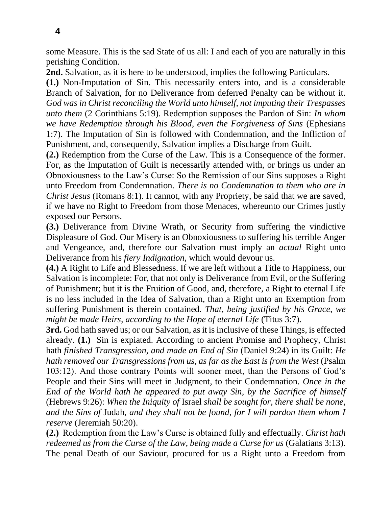some Measure. This is the sad State of us all: I and each of you are naturally in this perishing Condition.

**2nd.** Salvation, as it is here to be understood, implies the following Particulars.

**(1.)** Non-Imputation of Sin. This necessarily enters into, and is a considerable Branch of Salvation, for no Deliverance from deferred Penalty can be without it. *God was in Christ reconciling the World unto himself, not imputing their Trespasses unto them* (2 Corinthians 5:19). Redemption supposes the Pardon of Sin: *In whom we have Redemption through his Blood, even the Forgiveness of Sins* (Ephesians 1:7). The Imputation of Sin is followed with Condemnation, and the Infliction of Punishment, and, consequently, Salvation implies a Discharge from Guilt.

**(2.)** Redemption from the Curse of the Law. This is a Consequence of the former. For, as the Imputation of Guilt is necessarily attended with, or brings us under an Obnoxiousness to the Law's Curse: So the Remission of our Sins supposes a Right unto Freedom from Condemnation. *There is no Condemnation to them who are in Christ Jesus* (Romans 8:1). It cannot, with any Propriety, be said that we are saved, if we have no Right to Freedom from those Menaces, whereunto our Crimes justly exposed our Persons.

**(3.)** Deliverance from Divine Wrath, or Security from suffering the vindictive Displeasure of God. Our Misery is an Obnoxiousness to suffering his terrible Anger and Vengeance, and, therefore our Salvation must imply an *actual* Right unto Deliverance from his *fiery Indignation,* which would devour us.

**(4.)** A Right to Life and Blessedness. If we are left without a Title to Happiness, our Salvation is incomplete: For, that not only is Deliverance from Evil, or the Suffering of Punishment; but it is the Fruition of Good, and, therefore, a Right to eternal Life is no less included in the Idea of Salvation, than a Right unto an Exemption from suffering Punishment is therein contained. *That, being justified by his Grace, we might be made Heirs, according to the Hope of eternal Life* (Titus 3:7).

**3rd.** God hath saved us; or our Salvation, as it is inclusive of these Things, is effected already. **(1.)** Sin is expiated. According to ancient Promise and Prophecy, Christ hath *finished Transgression, and made an End of Sin* (Daniel 9:24) in its Guilt: *He hath removed our Transgressions from us, as far as the East is from the West* (Psalm 103:12). And those contrary Points will sooner meet, than the Persons of God's People and their Sins will meet in Judgment, to their Condemnation. *Once in the End of the World hath he appeared to put away Sin, by the Sacrifice of himself*  (Hebrews 9:26): *When the Iniquity of* Israel *shall be sought for, there shall be none, and the Sins of* Judah, *and they shall not be found, for I will pardon them whom I reserve* (Jeremiah 50:20).

**(2.)** Redemption from the Law's Curse is obtained fully and effectually. *Christ hath redeemed us from the Curse of the Law, being made a Curse for us* (Galatians 3:13). The penal Death of our Saviour, procured for us a Right unto a Freedom from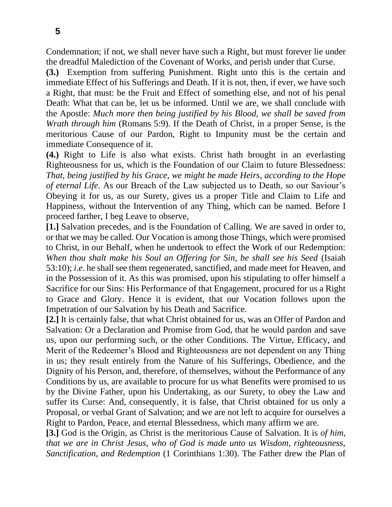Condemnation; if not, we shall never have such a Right, but must forever lie under the dreadful Malediction of the Covenant of Works, and perish under that Curse.

**(3.)** Exemption from suffering Punishment. Right unto this is the certain and immediate Effect of his Sufferings and Death. If it is not, then, if ever, we have such a Right, that must: be the Fruit and Effect of something else, and not of his penal Death: What that can be, let us be informed. Until we are, we shall conclude with the Apostle: *Much more then being justified by his Blood, we shall be saved from Wrath through him* (Romans 5:9). If the Death of Christ, in a proper Sense, is the meritorious Cause of our Pardon, Right to Impunity must be the certain and immediate Consequence of it.

**(4.)** Right to Life is also what exists. Christ hath brought in an everlasting Righteousness for us, which is the Foundation of our Claim to future Blessedness: *That, being justified by his Grace, we might be made Heirs, according to the Hope of eternal Life*. As our Breach of the Law subjected us to Death, so our Saviour's Obeying it for us, as our Surety, gives us a proper Title and Claim to Life and Happiness, without the Intervention of any Thing, which can be named. Before I proceed farther, I beg Leave to observe,

**[1.]** Salvation precedes, and is the Foundation of Calling. We are saved in order to, or that we may be called. Our Vocation is among those Things, which were promised to Christ, in our Behalf, when he undertook to effect the Work of our Redemption: *When thou shalt make his Soul an Offering for Sin, be shall see his Seed* (Isaiah 53:10); *i*.*e*. he shall see them regenerated, sanctified, and made meet for Heaven, and in the Possession of it. As this was promised, upon his stipulating to offer himself a Sacrifice for our Sins: His Performance of that Engagement, procured for us a Right to Grace and Glory. Hence it is evident, that our Vocation follows upon the Impetration of our Salvation by his Death and Sacrifice.

**[2.]** It is certainly false, that what Christ obtained for us, was an Offer of Pardon and Salvation: Or a Declaration and Promise from God, that he would pardon and save us, upon our performing such, or the other Conditions. The Virtue, Efficacy, and Merit of the Redeemer's Blood and Righteousness are not dependent on any Thing in us; they result entirely from the Nature of his Sufferings, Obedience, and the Dignity of his Person, and, therefore, of themselves, without the Performance of any Conditions by us, are available to procure for us what Benefits were promised to us by the Divine Father, upon his Undertaking, as our Surety, to obey the Law and suffer its Curse: And, consequently, it is false, that Christ obtained for us only a Proposal, or verbal Grant of Salvation; and we are not left to acquire for ourselves a Right to Pardon, Peace, and eternal Blessedness, which many affirm we are.

**[3.]** God is the Origin, as Christ is the meritorious Cause of Salvation. It is *of him, that we are in Christ Jesus, who of God is made unto us Wisdom, righteousness, Sanctification, and Redemption* (1 Corinthians 1:30). The Father drew the Plan of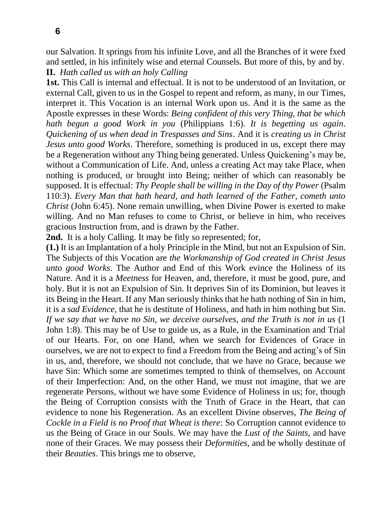our Salvation. It springs from his infinite Love, and all the Branches of it were fxed and settled, in his infinitely wise and eternal Counsels. But more of this, by and by. **II.** *Hath called us with an holy Calling*

**1st.** This Call is internal and effectual. It is not to be understood of an Invitation, or external Call, given to us in the Gospel to repent and reform, as many, in our Times, interpret it. This Vocation is an internal Work upon us. And it is the same as the Apostle expresses in these Words: *Being confident of this very Thing, that be which hath begun a good Work in you* (Philippians 1:6). *It is begetting us again*. *Quickening of us when dead in Trespasses and Sins*. And it is *creating us in Christ Jesus unto good Works*. Therefore, something is produced in us, except there may be a Regeneration without any Thing being generated. Unless Quickening's may be, without a Communication of Life. And, unless a creating Act may take Place, when nothing is produced, or brought into Being; neither of which can reasonably be supposed. It is effectual: *Thy People shall be willing in the Day of thy Power* (Psalm 110:3). *Every Man that hath heard, and hath learned of the Father, cometh unto Christ* (John 6:45). None remain unwilling, when Divine Power is exerted to make willing. And no Man refuses to come to Christ, or believe in him, who receives gracious Instruction from, and is drawn by the Father.

**2nd.** It is a holy Calling. It may be fitly so represented; for,

**(1.)** It is an Implantation of a holy Principle in the Mind, but not an Expulsion of Sin. The Subjects of this Vocation are *the Workmanship of God created in Christ Jesus unto good Works*. The Author and End of this Work evince the Holiness of its Nature. And it is a *Meetness* for Heaven, and, therefore, it must be good, pure, and holy. But it is not an Expulsion of Sin. It deprives Sin of its Dominion, but leaves it its Being in the Heart. If any Man seriously thinks that he hath nothing of Sin in him, it is a *sad Evidence,* that he is destitute of Holiness, and hath in him nothing but Sin. *If we say that we have no Sin, we deceive ourselves, and the Truth is not in us* (1 John 1:8). This may be of Use to guide us, as a Rule, in the Examination and Trial of our Hearts. For, on one Hand, when we search for Evidences of Grace in ourselves, we are not to expect to find a Freedom from the Being and acting's of Sin in us, and, therefore, we should not conclude, that we have no Grace, because we have Sin: Which some are sometimes tempted to think of themselves, on Account of their Imperfection: And, on the other Hand, we must not imagine, that we are regenerate Persons, without we have some Evidence of Holiness in us; for, though the Being of Corruption consists with the Truth of Grace in the Heart, that can evidence to none his Regeneration. As an excellent Divine observes, *The Being of Cockle in a Field is no Proof that Wheat is there*: So Corruption cannot evidence to us the Being of Grace in our Souls. We may have the *Lust of the Saints,* and have none of their Graces. We may possess their *Deformities,* and be wholly destitute of their *Beauties*. This brings me to observe,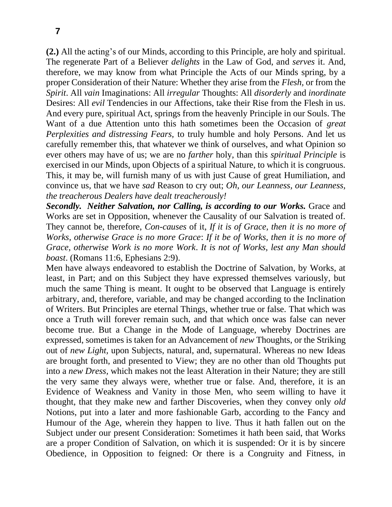**(2.)** All the acting's of our Minds, according to this Principle, are holy and spiritual. The regenerate Part of a Believer *delights* in the Law of God, and *serves* it. And, therefore, we may know from what Principle the Acts of our Minds spring, by a proper Consideration of their Nature: Whether they arise from the *Flesh,* or from the *Spirit*. All *vain* Imaginations: All *irregular* Thoughts: All *disorderly* and *inordinate*  Desires: All *evil* Tendencies in our Affections, take their Rise from the Flesh in us. And every pure, spiritual Act, springs from the heavenly Principle in our Souls. The Want of a due Attention unto this hath sometimes been the Occasion of *great Perplexities and distressing Fears,* to truly humble and holy Persons. And let us carefully remember this, that whatever we think of ourselves, and what Opinion so ever others may have of us; we are no *farther* holy, than this *spiritual Principle* is exercised in our Minds, upon Objects of a spiritual Nature, to which it is congruous. This, it may be, will furnish many of us with just Cause of great Humiliation, and convince us, that we have *sad* Reason to cry out; *Oh, our Leanness, our Leanness, the treacherous Dealers have dealt treacherously!*

*Secondly. Neither Salvation, nor Calling, is according to our Works.* Grace and Works are set in Opposition, whenever the Causality of our Salvation is treated of. They cannot be, therefore, *Con-causes* of it, *If it is of Grace, then it is no more of Works, otherwise Grace is no more Grace*: *If it be of Works, then it is no more of Grace, otherwise Work is no more Work*. *It is not of Works, lest any Man should boast*. (Romans 11:6, Ephesians 2:9).

Men have always endeavored to establish the Doctrine of Salvation, by Works, at least, in Part; and on this Subject they have expressed themselves variously, but much the same Thing is meant. It ought to be observed that Language is entirely arbitrary, and, therefore, variable, and may be changed according to the Inclination of Writers. But Principles are eternal Things, whether true or false. That which was once a Truth will forever remain such, and that which once was false can never become true. But a Change in the Mode of Language, whereby Doctrines are expressed, sometimes is taken for an Advancement of *new* Thoughts, or the Striking out of *new Light,* upon Subjects, natural, and, supernatural. Whereas no new Ideas are brought forth, and presented to View; they are no other than old Thoughts put into a *new Dress,* which makes not the least Alteration in their Nature; they are still the very same they always were, whether true or false. And, therefore, it is an Evidence of Weakness and Vanity in those Men, who seem willing to have it thought, that they make new and farther Discoveries, when they convey only *old*  Notions, put into a later and more fashionable Garb, according to the Fancy and Humour of the Age, wherein they happen to live. Thus it hath fallen out on the Subject under our present Consideration: Sometimes it hath been said, that Works are a proper Condition of Salvation, on which it is suspended: Or it is by sincere Obedience, in Opposition to feigned: Or there is a Congruity and Fitness, in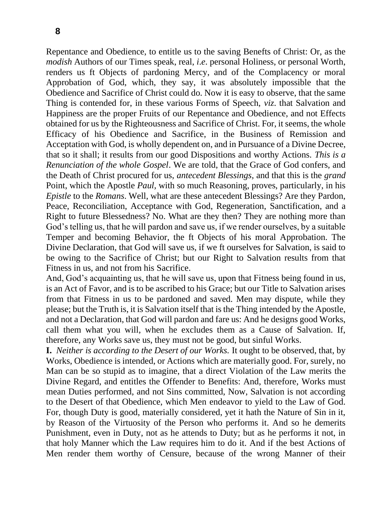Repentance and Obedience, to entitle us to the saving Benefts of Christ: Or, as the *modish* Authors of our Times speak, real, *i*.*e*. personal Holiness, or personal Worth, renders us ft Objects of pardoning Mercy, and of the Complacency or moral Approbation of God, which, they say, it was absolutely impossible that the Obedience and Sacrifice of Christ could do. Now it is easy to observe, that the same Thing is contended for, in these various Forms of Speech, *viz*. that Salvation and Happiness are the proper Fruits of our Repentance and Obedience, and not Effects obtained for us by the Righteousness and Sacrifice of Christ. For, it seems, the whole Efficacy of his Obedience and Sacrifice, in the Business of Remission and Acceptation with God, is wholly dependent on, and in Pursuance of a Divine Decree, that so it shall; it results from our good Dispositions and worthy Actions. *This is a Renunciation of the whole Gospel*. We are told, that the Grace of God confers, and the Death of Christ procured for us, *antecedent Blessings,* and that this is the *grand*  Point, which the Apostle *Paul,* with so much Reasoning, proves, particularly, in his *Epistle* to the *Romans*. Well, what are these antecedent Blessings? Are they Pardon, Peace, Reconciliation, Acceptance with God, Regeneration, Sanctification, and a Right to future Blessedness? No. What are they then? They are nothing more than God's telling us, that he will pardon and save us, if we render ourselves, by a suitable Temper and becoming Behavior, the ft Objects of his moral Approbation. The Divine Declaration, that God will save us, if we ft ourselves for Salvation, is said to be owing to the Sacrifice of Christ; but our Right to Salvation results from that Fitness in us, and not from his Sacrifice.

And, God's acquainting us, that he will save us, upon that Fitness being found in us, is an Act of Favor, and is to be ascribed to his Grace; but our Title to Salvation arises from that Fitness in us to be pardoned and saved. Men may dispute, while they please; but the Truth is, it is Salvation itself that is the Thing intended by the Apostle, and not a Declaration, that God will pardon and fare us: And he designs good Works, call them what you will, when he excludes them as a Cause of Salvation. If, therefore, any Works save us, they must not be good, but sinful Works.

**I.** *Neither is according to the Desert of our Works.* It ought to be observed, that, by Works, Obedience is intended, or Actions which are materially good. For, surely, no Man can be so stupid as to imagine, that a direct Violation of the Law merits the Divine Regard, and entitles the Offender to Benefits: And, therefore, Works must mean Duties performed, and not Sins committed, Now, Salvation is not according to the Desert of that Obedience, which Men endeavor to yield to the Law of God. For, though Duty is good, materially considered, yet it hath the Nature of Sin in it, by Reason of the Virtuosity of the Person who performs it. And so he demerits Punishment, even in Duty, not as he attends to Duty; but as he performs it not, in that holy Manner which the Law requires him to do it. And if the best Actions of Men render them worthy of Censure, because of the wrong Manner of their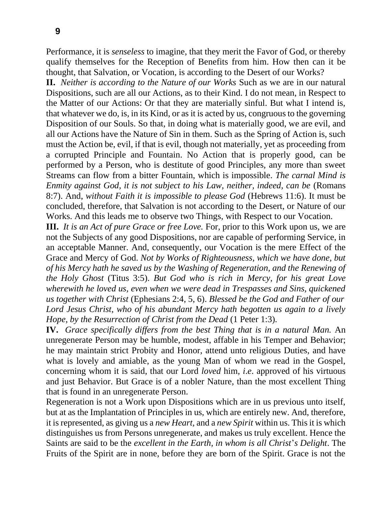Performance, it is *senseless* to imagine, that they merit the Favor of God, or thereby qualify themselves for the Reception of Benefits from him. How then can it be thought, that Salvation, or Vocation, is according to the Desert of our Works?

**II.** *Neither is according to the Nature of our Works* Such as we are in our natural Dispositions, such are all our Actions, as to their Kind. I do not mean, in Respect to the Matter of our Actions: Or that they are materially sinful. But what I intend is, that whatever we do, is, in its Kind, or as it is acted by us, congruous to the governing Disposition of our Souls. So that, in doing what is materially good, we are evil, and all our Actions have the Nature of Sin in them. Such as the Spring of Action is, such must the Action be, evil, if that is evil, though not materially, yet as proceeding from a corrupted Principle and Fountain. No Action that is properly good, can be performed by a Person, who is destitute of good Principles, any more than sweet Streams can flow from a bitter Fountain, which is impossible. *The carnal Mind is Enmity against God, it is not subject to his Law, neither, indeed, can be* (Romans 8:7). And, *without Faith it is impossible to please God* (Hebrews 11:6). It must be concluded, therefore, that Salvation is not according to the Desert, or Nature of our Works. And this leads me to observe two Things, with Respect to our Vocation.

**III.** *It is an Act of pure Grace or free Love.* For, prior to this Work upon us, we are not the Subjects of any good Dispositions, nor are capable of performing Service, in an acceptable Manner. And, consequently, our Vocation is the mere Effect of the Grace and Mercy of God. *Not by Works of Righteousness, which we have done, but of his Mercy hath he saved us by the Washing of Regeneration, and the Renewing of the Holy Ghost* (Titus 3:5). *But God who is rich in Mercy, for his great Love wherewith he loved us, even when we were dead in Trespasses and Sins, quickened us together with Christ* (Ephesians 2:4, 5, 6). *Blessed be the God and Father of our Lord Jesus Christ, who of his abundant Mercy hath begotten us again to a lively Hope, by the Resurrection of Christ from the Dead* (1 Peter 1:3).

**IV.** *Grace specifically differs from the best Thing that is in a natural Man.* An unregenerate Person may be humble, modest, affable in his Temper and Behavior; he may maintain strict Probity and Honor, attend unto religious Duties, and have what is lovely and amiable, as the young Man of whom we read in the Gospel, concerning whom it is said, that our Lord *loved* him, *i*.*e*. approved of his virtuous and just Behavior. But Grace is of a nobler Nature, than the most excellent Thing that is found in an unregenerate Person.

Regeneration is not a Work upon Dispositions which are in us previous unto itself, but at as the Implantation of Principles in us, which are entirely new. And, therefore, it is represented, as giving us a *new Heart,* and a *new Spirit* within us. This it is which distinguishes us from Persons unregenerate, and makes us truly excellent. Hence the Saints are said to be the *excellent in the Earth, in whom is all Christ*'*s Delight*. The Fruits of the Spirit are in none, before they are born of the Spirit. Grace is not the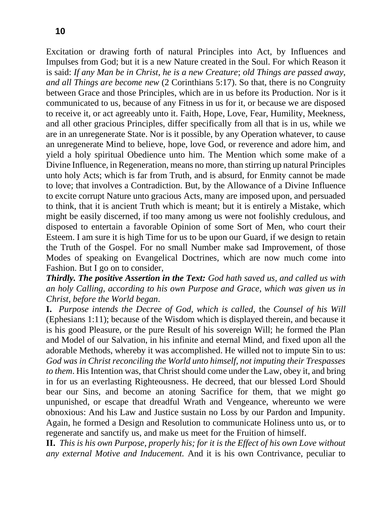Excitation or drawing forth of natural Principles into Act, by Influences and Impulses from God; but it is a new Nature created in the Soul. For which Reason it is said: *If any Man be in Christ, he is a new Creature*; *old Things are passed away, and all Things are become new* (2 Corinthians 5:17). So that, there is no Congruity between Grace and those Principles, which are in us before its Production. Nor is it communicated to us, because of any Fitness in us for it, or because we are disposed to receive it, or act agreeably unto it. Faith, Hope, Love, Fear, Humility, Meekness, and all other gracious Principles, differ specifically from all that is in us, while we are in an unregenerate State. Nor is it possible, by any Operation whatever, to cause an unregenerate Mind to believe, hope, love God, or reverence and adore him, and yield a holy spiritual Obedience unto him. The Mention which some make of a Divine Influence, in Regeneration, means no more, than stirring up natural Principles unto holy Acts; which is far from Truth, and is absurd, for Enmity cannot be made to love; that involves a Contradiction. But, by the Allowance of a Divine Influence to excite corrupt Nature unto gracious Acts, many are imposed upon, and persuaded to think, that it is ancient Truth which is meant; but it is entirely a Mistake, which might be easily discerned, if too many among us were not foolishly credulous, and disposed to entertain a favorable Opinion of some Sort of Men, who court their Esteem. I am sure it is high Time for us to be upon our Guard, if we design to retain the Truth of the Gospel. For no small Number make sad Improvement, of those Modes of speaking on Evangelical Doctrines, which are now much come into Fashion. But I go on to consider,

*Thirdly. The positive Assertion in the Text: God hath saved us, and called us with an holy Calling, according to his own Purpose and Grace, which was given us in Christ, before the World began*.

**I.** *Purpose intends the Decree of God, which is called,* the *Counsel of his Will*  (Ephesians 1:11); because of the Wisdom which is displayed therein, and because it is his good Pleasure, or the pure Result of his sovereign Will; he formed the Plan and Model of our Salvation, in his infinite and eternal Mind, and fixed upon all the adorable Methods, whereby it was accomplished. He willed not to impute Sin to us: *God was in Christ reconciling the World unto himself, not imputing their Trespasses to them*. His Intention was, that Christ should come under the Law, obey it, and bring in for us an everlasting Righteousness. He decreed, that our blessed Lord Should bear our Sins, and become an atoning Sacrifice for them, that we might go unpunished, or escape that dreadful Wrath and Vengeance, whereunto we were obnoxious: And his Law and Justice sustain no Loss by our Pardon and Impunity. Again, he formed a Design and Resolution to communicate Holiness unto us, or to regenerate and sanctify us, and make us meet for the Fruition of himself.

**II.** *This is his own Purpose, properly his; for it is the Effect of his own Love without any external Motive and Inducement.* And it is his own Contrivance, peculiar to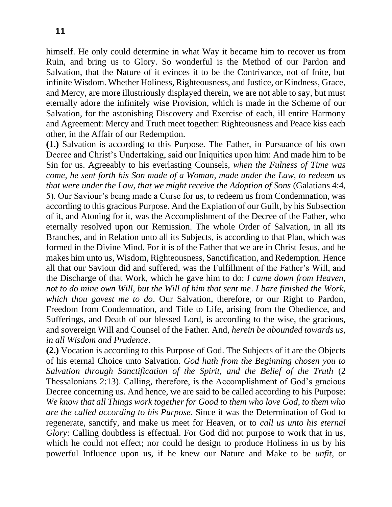himself. He only could determine in what Way it became him to recover us from Ruin, and bring us to Glory. So wonderful is the Method of our Pardon and Salvation, that the Nature of it evinces it to be the Contrivance, not of fnite, but infinite Wisdom. Whether Holiness, Righteousness, and Justice, or Kindness, Grace, and Mercy, are more illustriously displayed therein, we are not able to say, but must eternally adore the infinitely wise Provision, which is made in the Scheme of our Salvation, for the astonishing Discovery and Exercise of each, ill entire Harmony and Agreement: Mercy and Truth meet together: Righteousness and Peace kiss each other, in the Affair of our Redemption.

**(1.)** Salvation is according to this Purpose. The Father, in Pursuance of his own Decree and Christ's Undertaking, said our Iniquities upon him: And made him to be Sin for us. Agreeably to his everlasting Counsels, *when the Fulness of Time was come, he sent forth his Son made of a Woman, made under the Law, to redeem us that were under the Law, that we might receive the Adoption of Sons* (Galatians 4:4, 5). Our Saviour's being made a Curse for us, to redeem us from Condemnation, was according to this gracious Purpose. And the Expiation of our Guilt, by his Subsection of it, and Atoning for it, was the Accomplishment of the Decree of the Father, who eternally resolved upon our Remission. The whole Order of Salvation, in all its Branches, and in Relation unto all its Subjects, is according to that Plan, which was formed in the Divine Mind. For it is of the Father that we are in Christ Jesus, and he makes him unto us, Wisdom, Righteousness, Sanctification, and Redemption. Hence all that our Saviour did and suffered, was the Fulfillment of the Father's Will, and the Discharge of that Work, which he gave him to do: *I came down from Heaven, not to do mine own Will, but the Will of him that sent me*. *I bare finished the Work, which thou gavest me to do*. Our Salvation, therefore, or our Right to Pardon, Freedom from Condemnation, and Title to Life, arising from the Obedience, and Sufferings, and Death of our blessed Lord, is according to the wise, the gracious, and sovereign Will and Counsel of the Father. And, *herein be abounded towards us, in all Wisdom and Prudence*.

**(2.)** Vocation is according to this Purpose of God. The Subjects of it are the Objects of his eternal Choice unto Salvation. *God hath from the Beginning chosen you to Salvation through Sanctification of the Spirit, and the Belief of the Truth* (2 Thessalonians 2:13). Calling, therefore, is the Accomplishment of God's gracious Decree concerning us. And hence, we are said to be called according to his Purpose: *We know that all Things work together for Good to them who love God, to them who are the called according to his Purpose*. Since it was the Determination of God to regenerate, sanctify, and make us meet for Heaven, or to *call us unto his eternal Glory*: Calling doubtless is effectual. For God did not purpose to work that in us, which he could not effect; nor could he design to produce Holiness in us by his powerful Influence upon us, if he knew our Nature and Make to be *unfit,* or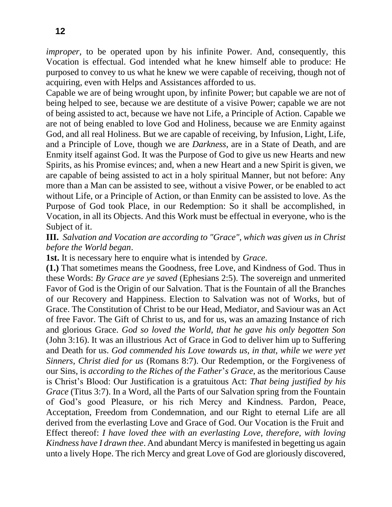*improper*, to be operated upon by his infinite Power. And, consequently, this Vocation is effectual. God intended what he knew himself able to produce: He purposed to convey to us what he knew we were capable of receiving, though not of acquiring, even with Helps and Assistances afforded to us.

Capable we are of being wrought upon, by infinite Power; but capable we are not of being helped to see, because we are destitute of a visive Power; capable we are not of being assisted to act, because we have not Life, a Principle of Action. Capable we are not of being enabled to love God and Holiness, because we are Enmity against God, and all real Holiness. But we are capable of receiving, by Infusion, Light, Life, and a Principle of Love, though we are *Darkness*, are in a State of Death, and are Enmity itself against God. It was the Purpose of God to give us new Hearts and new Spirits, as his Promise evinces; and, when a new Heart and a new Spirit is given, we are capable of being assisted to act in a holy spiritual Manner, but not before: Any more than a Man can be assisted to see, without a visive Power, or be enabled to act without Life, or a Principle of Action, or than Enmity can be assisted to love. As the Purpose of God took Place, in our Redemption: So it shall be accomplished, in Vocation, in all its Objects. And this Work must be effectual in everyone, who is the Subject of it.

**III.** *Salvation and Vocation are according to "Grace", which was given us in Christ before the World began*.

**1st.** It is necessary here to enquire what is intended by *Grace*.

**(1.)** That sometimes means the Goodness, free Love, and Kindness of God. Thus in these Words: *By Grace are ye saved* (Ephesians 2:5). The sovereign and unmerited Favor of God is the Origin of our Salvation. That is the Fountain of all the Branches of our Recovery and Happiness. Election to Salvation was not of Works, but of Grace. The Constitution of Christ to be our Head, Mediator, and Saviour was an Act of free Favor. The Gift of Christ to us, and for us, was an amazing Instance of rich and glorious Grace. *God so loved the World, that he gave his only begotten Son*  (John 3:16). It was an illustrious Act of Grace in God to deliver him up to Suffering and Death for us. *God commended his Love towards us, in that, while we were yet Sinners, Christ died for us* (Romans 8:7). Our Redemption, or the Forgiveness of our Sins, is *according to the Riches of the Father*'*s Grace,* as the meritorious Cause is Christ's Blood: Our Justification is a gratuitous Act: *That being justified by his Grace* (Titus 3:7). In a Word, all the Parts of our Salvation spring from the Fountain of God's good Pleasure, or his rich Mercy and Kindness. Pardon, Peace, Acceptation, Freedom from Condemnation, and our Right to eternal Life are all derived from the everlasting Love and Grace of God. Our Vocation is the Fruit and Effect thereof: *I have loved thee with an everlasting Love, therefore, with loving Kindness have I drawn thee*. And abundant Mercy is manifested in begetting us again unto a lively Hope. The rich Mercy and great Love of God are gloriously discovered,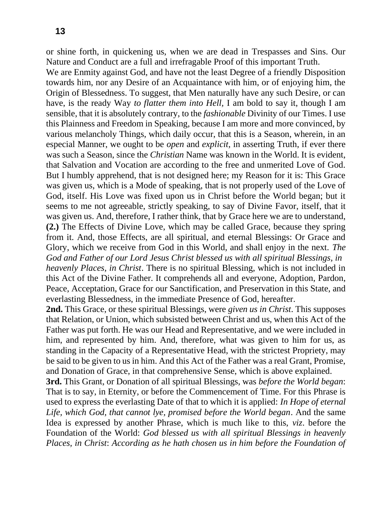or shine forth, in quickening us, when we are dead in Trespasses and Sins. Our Nature and Conduct are a full and irrefragable Proof of this important Truth.

We are Enmity against God, and have not the least Degree of a friendly Disposition towards him, nor any Desire of an Acquaintance with him, or of enjoying him, the Origin of Blessedness. To suggest, that Men naturally have any such Desire, or can have, is the ready Way *to flatter them into Hell,* I am bold to say it, though I am sensible, that it is absolutely contrary, to the *fashionable* Divinity of our Times. I use this Plainness and Freedom in Speaking, because I am more and more convinced, by various melancholy Things, which daily occur, that this is a Season, wherein, in an especial Manner, we ought to be *open* and *explicit,* in asserting Truth, if ever there was such a Season, since the *Christian* Name was known in the World. It is evident, that Salvation and Vocation are according to the free and unmerited Love of God. But I humbly apprehend, that is not designed here; my Reason for it is: This Grace was given us, which is a Mode of speaking, that is not properly used of the Love of God, itself. His Love was fixed upon us in Christ before the World began; but it seems to me not agreeable, strictly speaking, to say of Divine Favor, itself, that it was given us. And, therefore, I rather think, that by Grace here we are to understand, **(2.)** The Effects of Divine Love, which may be called Grace, because they spring from it. And, those Effects, are all spiritual, and eternal Blessings: Or Grace and Glory, which we receive from God in this World, and shall enjoy in the next. *The God and Father of our Lord Jesus Christ blessed us with all spiritual Blessings, in heavenly Places, in Christ*. There is no spiritual Blessing, which is not included in this Act of the Divine Father. It comprehends all and everyone, Adoption, Pardon, Peace, Acceptation, Grace for our Sanctification, and Preservation in this State, and everlasting Blessedness, in the immediate Presence of God, hereafter.

**2nd.** This Grace, or these spiritual Blessings, were *given us in Christ*. This supposes that Relation, or Union, which subsisted between Christ and us, when this Act of the Father was put forth. He was our Head and Representative, and we were included in him, and represented by him. And, therefore, what was given to him for us, as standing in the Capacity of a Representative Head, with the strictest Propriety, may be said to be given to us in him. And this Act of the Father was a real Grant, Promise, and Donation of Grace, in that comprehensive Sense, which is above explained.

**3rd.** This Grant, or Donation of all spiritual Blessings, was *before the World began*: That is to say, in Eternity, or before the Commencement of Time. For this Phrase is used to express the everlasting Date of that to which it is applied: *In Hope of eternal Life, which God, that cannot lye, promised before the World began*. And the same Idea is expressed by another Phrase, which is much like to this, *viz*. before the Foundation of the World: *God blessed us with all spiritual Blessings in heavenly Places, in Christ*: *According as he hath chosen us in him before the Foundation of*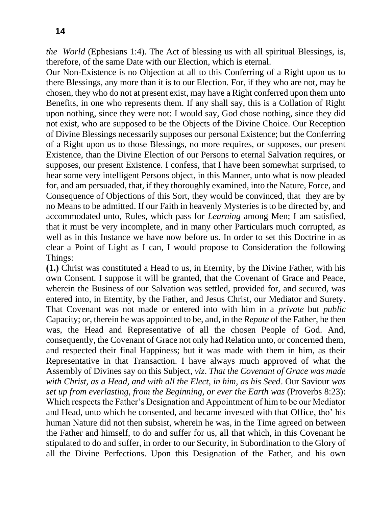*the World* (Ephesians 1:4). The Act of blessing us with all spiritual Blessings, is, therefore, of the same Date with our Election, which is eternal.

Our Non-Existence is no Objection at all to this Conferring of a Right upon us to there Blessings, any more than it is to our Election. For, if they who are not, may be chosen, they who do not at present exist, may have a Right conferred upon them unto Benefits, in one who represents them. If any shall say, this is a Collation of Right upon nothing, since they were not: I would say, God chose nothing, since they did not exist, who are supposed to be the Objects of the Divine Choice. Our Reception of Divine Blessings necessarily supposes our personal Existence; but the Conferring of a Right upon us to those Blessings, no more requires, or supposes, our present Existence, than the Divine Election of our Persons to eternal Salvation requires, or supposes, our present Existence. I confess, that I have been somewhat surprised, to hear some very intelligent Persons object, in this Manner, unto what is now pleaded for, and am persuaded, that, if they thoroughly examined, into the Nature, Force, and Consequence of Objections of this Sort, they would be convinced, that they are by no Means to be admitted. If our Faith in heavenly Mysteries is to be directed by, and accommodated unto, Rules, which pass for *Learning* among Men; I am satisfied, that it must be very incomplete, and in many other Particulars much corrupted, as well as in this Instance we have now before us. In order to set this Doctrine in as clear a Point of Light as I can, I would propose to Consideration the following Things:

**(1.)** Christ was constituted a Head to us, in Eternity, by the Divine Father, with his own Consent. I suppose it will be granted, that the Covenant of Grace and Peace, wherein the Business of our Salvation was settled, provided for, and secured, was entered into, in Eternity, by the Father, and Jesus Christ, our Mediator and Surety. That Covenant was not made or entered into with him in a *private* but *public*  Capacity; or, therein he was appointed to be, and, in the *Repute* of the Father, he then was, the Head and Representative of all the chosen People of God. And, consequently, the Covenant of Grace not only had Relation unto, or concerned them, and respected their final Happiness; but it was made with them in him, as their Representative in that Transaction. I have always much approved of what the Assembly of Divines say on this Subject, *viz*. *That the Covenant of Grace was made with Christ, as a Head, and with all the Elect, in him, as his Seed*. Our Saviour *was set up from everlasting, from the Beginning, or ever the Earth was (Proverbs 8:23):* Which respects the Father's Designation and Appointment of him to be our Mediator and Head, unto which he consented, and became invested with that Office, tho' his human Nature did not then subsist, wherein he was, in the Time agreed on between the Father and himself, to do and suffer for us, all that which, in this Covenant he stipulated to do and suffer, in order to our Security, in Subordination to the Glory of all the Divine Perfections. Upon this Designation of the Father, and his own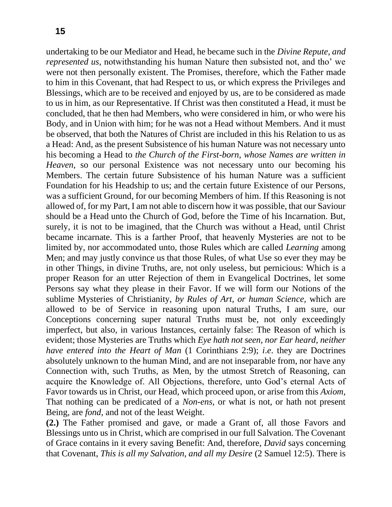undertaking to be our Mediator and Head, he became such in the *Divine Repute, and represented us, notwithstanding his human Nature then subsisted not, and tho' we* were not then personally existent. The Promises, therefore, which the Father made to him in this Covenant, that had Respect to us, or which express the Privileges and Blessings, which are to be received and enjoyed by us, are to be considered as made to us in him, as our Representative. If Christ was then constituted a Head, it must be concluded, that he then had Members, who were considered in him, or who were his Body, and in Union with him; for he was not a Head without Members. And it must be observed, that both the Natures of Christ are included in this his Relation to us as a Head: And, as the present Subsistence of his human Nature was not necessary unto his becoming a Head to *the Church of the First-born, whose Names are written in Heaven,* so our personal Existence was not necessary unto our becoming his Members. The certain future Subsistence of his human Nature was a sufficient Foundation for his Headship to us; and the certain future Existence of our Persons, was a sufficient Ground, for our becoming Members of him. If this Reasoning is not allowed of, for my Part, I am not able to discern how it was possible, that our Saviour should be a Head unto the Church of God, before the Time of his Incarnation. But, surely, it is not to be imagined, that the Church was without a Head, until Christ became incarnate. This is a farther Proof, that heavenly Mysteries are not to be limited by, nor accommodated unto, those Rules which are called *Learning* among Men; and may justly convince us that those Rules, of what Use so ever they may be in other Things, in divine Truths, are, not only useless, but pernicious: Which is a proper Reason for an utter Rejection of them in Evangelical Doctrines, let some Persons say what they please in their Favor. If we will form our Notions of the sublime Mysteries of Christianity, *by Rules of Art, or human Science,* which are allowed to be of Service in reasoning upon natural Truths, I am sure, our Conceptions concerning super natural Truths must be, not only exceedingly imperfect, but also, in various Instances, certainly false: The Reason of which is evident; those Mysteries are Truths which *Eye hath not seen, nor Ear heard, neither have entered into the Heart of Man* (1 Corinthians 2:9); *i*.*e*. they are Doctrines absolutely unknown to the human Mind, and are not inseparable from, nor have any Connection with, such Truths, as Men, by the utmost Stretch of Reasoning, can acquire the Knowledge of. All Objections, therefore, unto God's eternal Acts of Favor towards us in Christ, our Head, which proceed upon, or arise from this *Axiom,*  That nothing can be predicated of a *Non-ens,* or what is not, or hath not present Being, are *fond,* and not of the least Weight.

**(2.)** The Father promised and gave, or made a Grant of, all those Favors and Blessings unto us in Christ, which are comprised in our full Salvation. The Covenant of Grace contains in it every saving Benefit: And, therefore, *David* says concerning that Covenant, *This is all my Salvation, and all my Desire* (2 Samuel 12:5). There is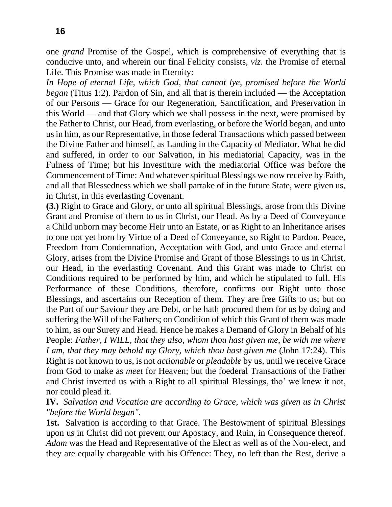one *grand* Promise of the Gospel, which is comprehensive of everything that is conducive unto, and wherein our final Felicity consists, *viz*. the Promise of eternal Life. This Promise was made in Eternity:

*In Hope of eternal Life, which God, that cannot lye, promised before the World began* (Titus 1:2). Pardon of Sin, and all that is therein included — the Acceptation of our Persons — Grace for our Regeneration, Sanctification, and Preservation in this World — and that Glory which we shall possess in the next, were promised by the Father to Christ, our Head, from everlasting, or before the World began, and unto us in him, as our Representative, in those federal Transactions which passed between the Divine Father and himself, as Landing in the Capacity of Mediator. What he did and suffered, in order to our Salvation, in his mediatorial Capacity, was in the Fulness of Time; but his Investiture with the mediatorial Office was before the Commencement of Time: And whatever spiritual Blessings we now receive by Faith, and all that Blessedness which we shall partake of in the future State, were given us, in Christ, in this everlasting Covenant.

**(3.)** Right to Grace and Glory, or unto all spiritual Blessings, arose from this Divine Grant and Promise of them to us in Christ, our Head. As by a Deed of Conveyance a Child unborn may become Heir unto an Estate, or as Right to an Inheritance arises to one not yet born by Virtue of a Deed of Conveyance, so Right to Pardon, Peace, Freedom from Condemnation, Acceptation with God, and unto Grace and eternal Glory, arises from the Divine Promise and Grant of those Blessings to us in Christ, our Head, in the everlasting Covenant. And this Grant was made to Christ on Conditions required to be performed by him, and which he stipulated to full. His Performance of these Conditions, therefore, confirms our Right unto those Blessings, and ascertains our Reception of them. They are free Gifts to us; but on the Part of our Saviour they are Debt, or he hath procured them for us by doing and suffering the Will of the Fathers; on Condition of which this Grant of them was made to him, as our Surety and Head. Hence he makes a Demand of Glory in Behalf of his People: *Father, I WILL, that they also, whom thou hast given me, be with me where I am, that they may behold my Glory, which thou hast given me* (John 17:24). This Right is not known to us, is not *actionable* or *pleadable* by us, until we receive Grace from God to make as *meet* for Heaven; but the foederal Transactions of the Father and Christ inverted us with a Right to all spiritual Blessings, tho' we knew it not, nor could plead it.

**IV.** *Salvation and Vocation are according to Grace, which was given us in Christ "before the World began".*

**1st.** Salvation is according to that Grace. The Bestowment of spiritual Blessings upon us in Christ did not prevent our Apostacy, and Ruin, in Consequence thereof. *Adam* was the Head and Representative of the Elect as well as of the Non-elect, and they are equally chargeable with his Offence: They, no left than the Rest, derive a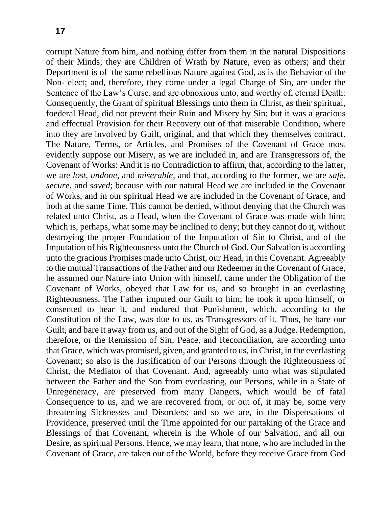corrupt Nature from him, and nothing differ from them in the natural Dispositions of their Minds; they are Children of Wrath by Nature, even as others; and their Deportment is of the same rebellious Nature against God, as is the Behavior of the Non- elect; and, therefore, they come under a legal Charge of Sin, are under the Sentence of the Law's Curse, and are obnoxious unto, and worthy of, eternal Death: Consequently, the Grant of spiritual Blessings unto them in Christ, as their spiritual, foederal Head, did not prevent their Ruin and Misery by Sin; but it was a gracious and effectual Provision for their Recovery out of that miserable Condition, where into they are involved by Guilt, original, and that which they themselves contract. The Nature, Terms, or Articles, and Promises of the Covenant of Grace most evidently suppose our Misery, as we are included in, and are Transgressors of, the Covenant of Works: And it is no Contradiction to affirm, that, according to the latter, we are *lost*, *undone,* and *miserable,* and that, according to the former, we are *safe, secure,* and *saved*; because with our natural Head we are included in the Covenant of Works, and in our spiritual Head we are included in the Covenant of Grace, and both at the same Time. This cannot be denied, without denying that the Church was related unto Christ, as a Head, when the Covenant of Grace was made with him; which is, perhaps, what some may be inclined to deny; but they cannot do it, without destroying the proper Foundation of the Imputation of Sin to Christ, and of the Imputation of his Righteousness unto the Church of God. Our Salvation is according unto the gracious Promises made unto Christ, our Head, in this Covenant. Agreeably to the mutual Transactions of the Father and our Redeemer in the Covenant of Grace, he assumed our Nature into Union with himself, came under the Obligation of the Covenant of Works, obeyed that Law for us, and so brought in an everlasting Righteousness. The Father imputed our Guilt to him; he took it upon himself, or consented to bear it, and endured that Punishment, which, according to the Constitution of the Law, was due to us, as Transgressors of it. Thus, he bare our Guilt, and bare it away from us, and out of the Sight of God, as a Judge. Redemption, therefore, or the Remission of Sin, Peace, and Reconciliation, are according unto that Grace, which was promised, given, and granted to us, in Christ, in the everlasting Covenant; so also is the Justification of our Persons through the Righteousness of Christ, the Mediator of that Covenant. And, agreeably unto what was stipulated between the Father and the Son from everlasting, our Persons, while in a State of Unregeneracy, are preserved from many Dangers, which would be of fatal Consequence to us, and we are recovered from, or out of, it may be, some very threatening Sicknesses and Disorders; and so we are, in the Dispensations of Providence, preserved until the Time appointed for our partaking of the Grace and Blessings of that Covenant, wherein is the Whole of our Salvation, and all our Desire, as spiritual Persons. Hence, we may learn, that none, who are included in the Covenant of Grace, are taken out of the World, before they receive Grace from God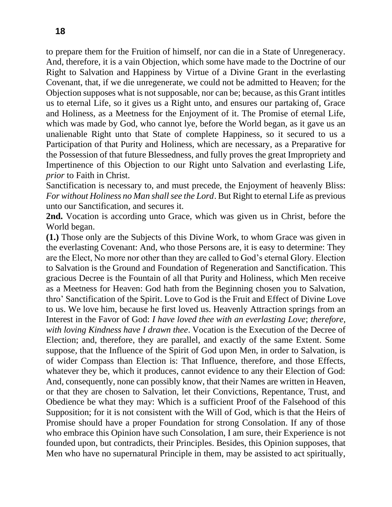to prepare them for the Fruition of himself, nor can die in a State of Unregeneracy. And, therefore, it is a vain Objection, which some have made to the Doctrine of our Right to Salvation and Happiness by Virtue of a Divine Grant in the everlasting Covenant, that, if we die unregenerate, we could not be admitted to Heaven; for the Objection supposes what is not supposable, nor can be; because, as this Grant intitles us to eternal Life, so it gives us a Right unto, and ensures our partaking of, Grace and Holiness, as a Meetness for the Enjoyment of it. The Promise of eternal Life, which was made by God, who cannot lye, before the World began, as it gave us an unalienable Right unto that State of complete Happiness, so it secured to us a Participation of that Purity and Holiness, which are necessary, as a Preparative for the Possession of that future Blessedness, and fully proves the great Impropriety and Impertinence of this Objection to our Right unto Salvation and everlasting Life, *prior* to Faith in Christ.

Sanctification is necessary to, and must precede, the Enjoyment of heavenly Bliss: *For without Holiness no Man shall see the Lord*. But Right to eternal Life as previous unto our Sanctification, and secures it.

**2nd.** Vocation is according unto Grace, which was given us in Christ, before the World began.

**(1.)** Those only are the Subjects of this Divine Work, to whom Grace was given in the everlasting Covenant: And, who those Persons are, it is easy to determine: They are the Elect, No more nor other than they are called to God's eternal Glory. Election to Salvation is the Ground and Foundation of Regeneration and Sanctification. This gracious Decree is the Fountain of all that Purity and Holiness, which Men receive as a Meetness for Heaven: God hath from the Beginning chosen you to Salvation, thro' Sanctification of the Spirit. Love to God is the Fruit and Effect of Divine Love to us. We love him, because he first loved us. Heavenly Attraction springs from an Interest in the Favor of God: *I have loved thee with an everlasting Love*; *therefore, with loving Kindness have I drawn thee*. Vocation is the Execution of the Decree of Election; and, therefore, they are parallel, and exactly of the same Extent. Some suppose, that the Influence of the Spirit of God upon Men, in order to Salvation, is of wider Compass than Election is: That Influence, therefore, and those Effects, whatever they be, which it produces, cannot evidence to any their Election of God: And, consequently, none can possibly know, that their Names are written in Heaven, or that they are chosen to Salvation, let their Convictions, Repentance, Trust, and Obedience be what they may: Which is a sufficient Proof of the Falsehood of this Supposition; for it is not consistent with the Will of God, which is that the Heirs of Promise should have a proper Foundation for strong Consolation. If any of those who embrace this Opinion have such Consolation, I am sure, their Experience is not founded upon, but contradicts, their Principles. Besides, this Opinion supposes, that Men who have no supernatural Principle in them, may be assisted to act spiritually,